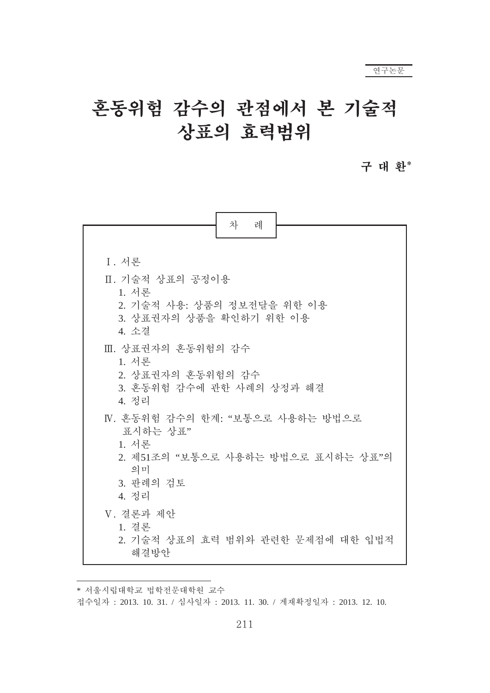# 혼동위험 감수의 관점에서 본 기술적 상표의 효력범위

# 구 대 환\*

| 차<br>례                                                                                                                 |  |  |
|------------------------------------------------------------------------------------------------------------------------|--|--|
|                                                                                                                        |  |  |
| I. 서론                                                                                                                  |  |  |
| Ⅱ. 기술적 상표의 공정이용<br>1. 서론                                                                                               |  |  |
| 2. 기술적 사용: 상품의 정보전달을 위한 이용<br>3. 상표권자의 상품을 확인하기 위한 이용<br>4. 소결                                                         |  |  |
| Ⅲ. 상표권자의 혼동위험의 감수<br>1. 서론<br>2. 상표권자의 혼동위험의 감수<br>3. 혼동위험 감수에 관한 사례의 상정과 해결<br>4. 정리                                  |  |  |
| Ⅳ. 혼동위험 갂수의 한계: "보통으로 사용하는 방법으로<br>표시하는 상표"<br>1. 서론<br>2. 제51조의 "보통으로 사용하는 방법으로 표시하는 상표"의<br>의미<br>3. 판례의 검토<br>4. 정리 |  |  |
| V. 결론과 제안<br>1. 결론<br>2. 기술적 상표의 효력 범위와 관련한 문제점에 대한 입법적<br>해결방안                                                        |  |  |

\* 서울시립대학교 법학전문대학원 교수

접수일자 : 2013. 10. 31. / 심사일자 : 2013. 11. 30. / 게재확정일자 : 2013. 12. 10.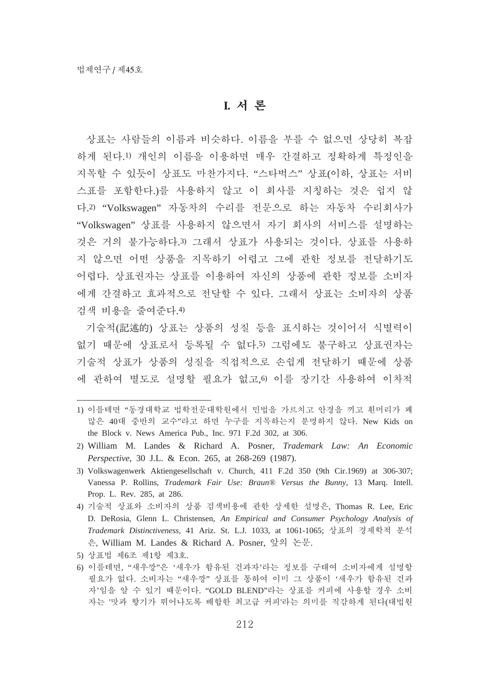#### **I.** 漉晍

상표는 사람들의 이름과 비슷하다. 이름을 부를 수 없으면 상당히 복잡 하게 된다.1) 개인의 이름을 이용하면 매우 간결하고 정확하게 특정인을 지목할 수 있듯이 상표도 마찬가지다. "스타벅스" 상표(이하, 상표는 서비 스표를 포함한다.)를 사용하지 않고 이 회사를 지칭하는 것은 쉽지 않 다.2) "Volkswagen" 자동차의 수리를 전문으로 하는 자동차 수리회사가 "Volkswagen" 상표를 사용하지 않으면서 자기 회사의 서비스를 설명하는 것은 거의 불가능하다.3) 그래서 상표가 사용되는 것이다. 상표를 사용하 지 않으면 어떤 상품을 지목하기 어렵고 그에 관한 정보를 전달하기도 어렵다. 상표권자는 상표를 이용하여 자신의 상품에 관한 정보를 소비자 에게 간결하고 효과적으로 전달할 수 있다. 그래서 상표는 소비자의 상품 검색 비용을 줄여준다.4)

기술적(記述的) 상표는 상품의 성질 등을 표시하는 것이어서 식별력이 없기 때문에 상표로서 등록될 수 없다.5) 그럼에도 불구하고 상표권자는 기술적 상표가 상품의 성질을 직접적으로 손쉽게 전달하기 때문에 상품 에 관하여 별도로 설명할 필요가 없고.6) 이를 장기간 사용하여 이차적

- 1) 이를테면 "동경대학교 법학전문대학원에서 민법을 가르치고 안경을 끼고 흰머리가 꽤 많은 40대 중반의 교수"라고 하면 누구를 지목하는지 분명하지 않다. New Kids on the Block v. News America Pub., Inc. 971 F.2d 302, at 306.
- 2) William M. Landes & Richard A. Posner, *Trademark Law: An Economic Perspective*, 30 J.L. & Econ. 265, at 268-269 (1987).

5) 상표법 제6조 제1항 제3호.

<sup>3)</sup> Volkswagenwerk Aktiengesellschaft v. Church, 411 F.2d 350 (9th Cir.1969) at 306-307; Vanessa P. Rollins, *Trademark Fair Use: Braun® Versus the Bunny*, 13 Marq. Intell. Prop. L. Rev. 285, at 286.

<sup>4)</sup> 기술적 상표와 소비자의 상품 검색비용에 관한 상세한 설명은, Thomas R. Lee, Eric D. DeRosia, Glenn L. Christensen, *An Empirical and Consumer Psychology Analysis of Trademark Distinctiveness*, 41 Ariz. St. L.J. 1033, at 1061-1065; 溮艉畅 媪瘉荆痮 歱漊 은, William M. Landes & Richard A. Posner, 앞의 논문.

<sup>6)</sup> 이를테면, "새우깡"은 '새우가 함유된 건과자'라는 정보를 구태여 소비자에게 설명할 필요가 없다. 소비자는 "새우깡"상표를 통하여 이미 그 상품이 '새우가 함유된 건과 자'임을 알 수 있기 때문이다. "GOLD BLEND"라는 상표를 커피에 사용할 경우 소비 자는 '맛과 향기가 뛰어나도록 배합한 최고급 커피'라는 의미를 직감하게 된다(대법원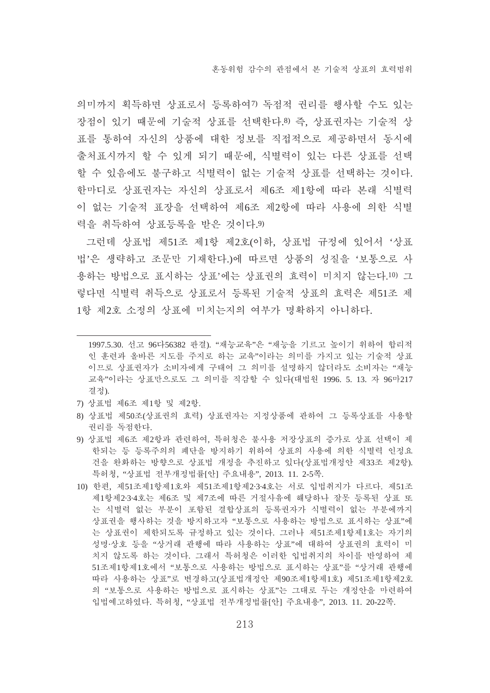의미까지 획득하면 상표로서 등록하여? 독점적 권리를 행사할 수도 있는 장점이 있기 때문에 기술적 상표를 선택한다.8) 즉, 상표권자는 기술적 상 표를 통하여 자신의 상품에 대한 정보를 직접적으로 제공하면서 동시에 출처표시까지 할 수 있게 되기 때문에, 식별력이 있는 다른 상표를 선택 할 수 있음에도 불구하고 식별력이 없는 기술적 상표를 선택하는 것이다. 한마디로 상표권자는 자신의 상표로서 제6조 제1항에 따라 본래 식별력 이 없는 기술적 표장을 선택하여 제6조 제2항에 따라 사용에 의한 식별 력을 취득하여 상표등록을 받은 것이다.9)

그런데 상표법 제51조 제1항 제2호(이하, 상표법 규정에 있어서 '상표 법'은 생략하고 조문만 기재하다.)에 따르면 상품의 성질을 '보통으로 사 용하는 방법으로 표시하는 상표'에는 상표권의 효력이 미치지 않는다.10) 그 렇다면 식별력 취득으로 상표로서 등록된 기술적 상표의 효력은 제51조 제 1항 제2호 소정의 상표에 미치는지의 여부가 명확하지 아니하다.

- 7) 상표법 제6조 제1항 및 제2항.
- 8) 상표법 제50조(상표권의 효력) 상표권자는 지정상품에 관하여 그 등록상표를 사용할 권리를 독점한다.
- 9) 상표법 제6조 제2항과 관련하여, 특허청은 불사용 저장상표의 증가로 상표 선택이 제 한되는 등 등록주의의 폐단을 방지하기 위하여 상표의 사용에 의한 식별력 인정요 건을 완화하는 방향으로 상표법 개정을 추진하고 있다(상표법개정안 제33조 제2항). 특허청. "상표법 전부개정법률[아] 주요내용", 2013. 11. 2-5쪽.
- 10) 한편, 제51조제1항제1호와 제51조제1항제2·3·4호는 서로 입법취지가 다르다. 제51조 제1항제2·3·4호는 제6조 및 제7조에 따른 거절사유에 해당하나 잘못 등록된 상표 또 는 식별력 없는 부분이 포함된 결합상표의 등록권자가 식별력이 없는 부분에까지 상표권을 행사하는 것을 방지하고자 "보통으로 사용하는 방법으로 표시하는 상표"에 는 상표권이 제한되도록 규정하고 있는 것이다. 그러나 제51조제1항제1호는 자기의 성명·상호 등을 "상거래 관행에 따라 사용하는 상표"에 대하여 상표권의 효력이 미 치지 않도록 하는 것이다. 그래서 특허청은 이러한 입법취지의 차이를 반영하여 제 51조제1항제1호에서 "보통으로 사용하는 방법으로 표시하는 상표"를 "상거래 관행에 따라 사용하는 상표"로 변경하고(상표법개정안 제90조제1항제1호) 제51조제1항제2호 의 "보통으로 사용하는 방법으로 표시하는 상표"는 그대로 두는 개정안을 마련하여 입법예고하였다. 특허청, "상표법 전부개정법률[안] 주요내용", 2013. 11. 20-22쪽.

<sup>1997.5.30.</sup> 선고 96다56382 판결). "재능교육"은 "재능을 기르고 높이기 위하여 합리적 인 훈련과 올바른 지도를 주지로 하는 교육"이라는 의미를 가지고 있는 기술적 상표 이므로 상표권자가 소비자에게 구태여 그 의미를 설명하지 않더라도 소비자는 "재능 교육"이라는 상표만으로도 그 의미를 직감할 수 있다(대법원 1996. 5. 13. 자 96마217 결정).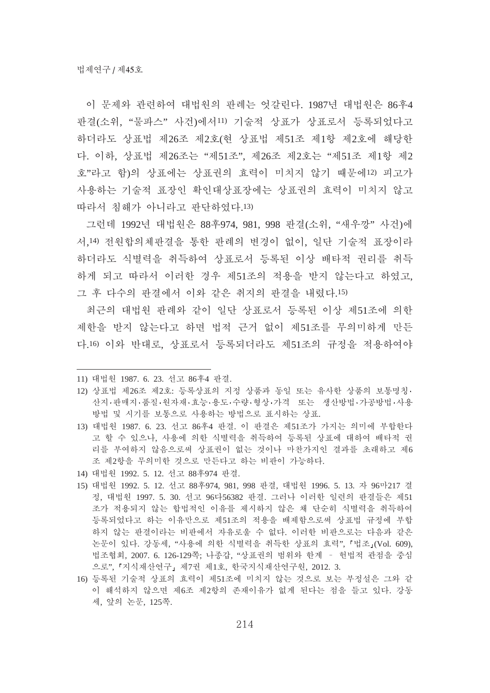이 무제와 과려하여 대법원의 판례는 언갈린다. 1987년 대법원은 86후4 판결(소위, "물파스" 사건)에서11) 기술적 상표가 상표로서 등록되었다고 하더라도 상표법 제26조 제2호(현 상표법 제51조 제1항 제2호에 해당한 다. 이하, 상표법 제26조는 "제51조", 제26조 제2호는 "제51조 제1항 제2 호"라고 함)의 상표에는 상표권의 효력이 미치지 않기 때문에12) 피고가 사용하는 기술적 표장인 확인대상표장에는 상표권의 효력이 미치지 않고 따라서 침해가 아니라고 판단하였다.13)

그런데 1992년 대법원은 88후974, 981, 998 판결(소위, "새우깡" 사건)에 서.14) 저워합의체파결을 통한 파례의 변경이 없이. 일단 기술적 표장이라 하더라도 식별력을 취득하여 상표로서 등록된 이상 배타적 권리를 취득 하게 되고 따라서 이러한 경우 제51조의 적용을 받지 않는다고 하였고. 그 후 다수의 판결에서 이와 같은 취지의 판결을 내렸다.15)

최근의 대법원 판례와 같이 일단 상표로서 등록된 이상 제51조에 의한 제한을 받지 않는다고 하면 법적 근거 없이 제51조를 무의미하게 만든 다.16) 이와 반대로, 상표로서 등록되더라도 제51조의 규정을 적용하여야

- 12) 상표법 제26조 제2호: 등록상표의 지정 상품과 동일 또는 유사한 상품의 보통명칭· 사지·파매지·품질·원자재·효능·용도·수량·형상·가격 또는 생산방법·가공방법·사용 방법 및 시기를 보통으로 사용하는 방법으로 표시하는 상표.
- 13) 대법원 1987. 6. 23. 선고 86후4 판결. 이 판결은 제51조가 가지는 의미에 부합한다 고 할 수 있으나. 사용에 의한 식별력을 취득하여 등록된 상표에 대하여 배타적 권 리를 부여하지 않음으로써 상표권이 없는 것이나 마찬가지인 결과를 초래하고 제6 조 제2항을 무의미한 것으로 만든다고 하는 비판이 가능하다.
- 14) 대법원 1992. 5. 12. 선고 88후974 판결.
- 15) 대법원 1992. 5. 12. 선고 88후974, 981, 998 판결, 대법원 1996. 5. 13. 자 96마217 결 정, 대법원 1997. 5. 30. 선고 96다56382 판결. 그러나 이러한 일련의 판결들은 제51 조가 적용되지 않는 합법적인 이유를 제시하지 않은 채 단순히 식별력을 취득하여 등록되었다고 하는 이유만으로 제51조의 적용을 배제함으로써 상표법 규정에 부합 하지 않는 판결이라는 비판에서 자유로울 수 없다. 이러한 비판으로는 다음과 같은 논문이 있다. 강동세, "사용에 의한 식별력을 취득한 상표의 효력", 『법조』(Vol. 609), 법조협회, 2007. 6. 126-129쪽; 나종갑, "상표권의 범위와 한계 - 헌법적 관점을 중심 으로", 「지식재산연구」제7권 제1호, 한국지식재산연구원, 2012. 3.
- 16) 등록된 기술적 상표의 효력이 제51조에 미치지 않는 것으로 보는 부정설은 그와 같 이 해석하지 않으면 제6조 제2항의 존재이유가 없게 된다는 점을 들고 있다. 강동 세, 앞의 논문, 125쪽.

<sup>11)</sup> 대법원 1987. 6. 23. 선고 86후4 판결.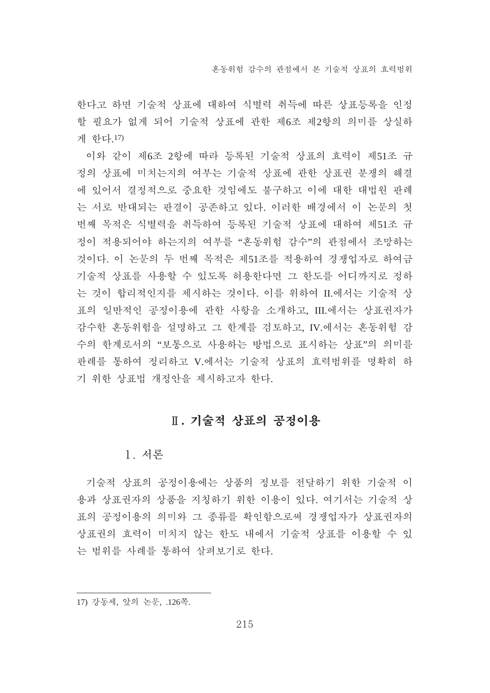한다고 하면 기술적 상표에 대하여 식별력 취득에 따른 상표등록을 인정 할 필요가 없게 되어 기술적 상표에 관한 제6조 제2항의 의미를 상실하 게 하다.17)

이와 같이 제6조 2항에 따라 등록된 기술적 상표의 효력이 제51조 규 정의 상표에 미치는지의 여부는 기술적 상표에 관한 상표권 분쟁의 해결 에 있어서 결정적으로 중요한 것임에도 불구하고 이에 대한 대법원 판례 는 서로 반대되는 판결이 공존하고 있다. 이러한 배경에서 이 논문의 첫 번째 목적은 식별력을 취득하여 등록된 기술적 상표에 대하여 제51조 규 정이 적용되어야 하는지의 여부를 "혼동위험 감수"의 관점에서 조망하는 것이다. 이 논문의 두 번째 목적은 제51조를 적용하여 경쟁업자로 하여금 기술적 상표를 사용할 수 있도록 허용한다면 그 한도를 어디까지로 정하 는 것이 합리적인지를 제시하는 것이다. 이를 위하여 II.에서는 기술적 상 표의 일반적인 공정이용에 관한 사항을 소개하고, III.에서는 상표권자가 감수한 혼동위험을 설명하고 그 한계를 검토하고. IV.에서는 혼동위험 감 수의 한계로서의 "보통으로 사용하는 방법으로 표시하는 상표"의 의미를 판례를 통하여 정리하고 V.에서는 기술적 상표의 효력범위를 명확히 하 기 위한 상표법 개정안을 제시하고자 한다.

# $II.$  기술적 상표의 공정이용

#### 1. 서론

기술적 상표의 공정이용에는 상품의 정보를 전달하기 위한 기술적 이 용과 상표권자의 상품을 지칭하기 위한 이용이 있다. 여기서는 기술적 상 표의 공정이용의 의미와 그 종류를 확인함으로써 경쟁업자가 상표권자의 상표권의 효력이 미치지 않는 한도 내에서 기술적 상표를 이용할 수 있 는 범위를 사례를 통하여 살펴보기로 한다.

<sup>17)</sup> 강동세, 앞의 논문, .126쪽.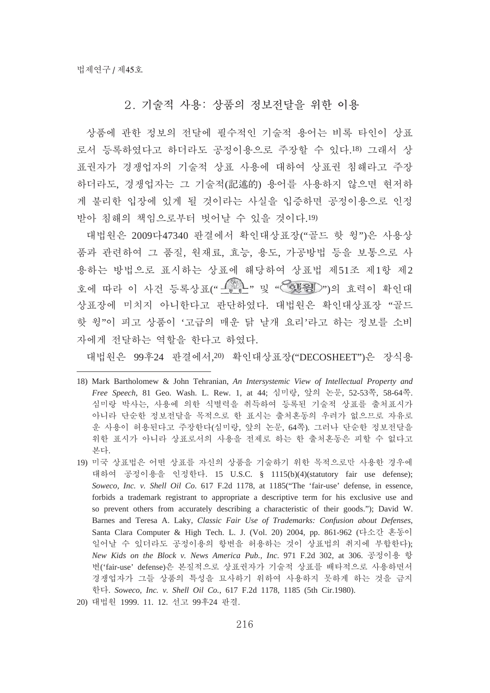## 2. 기술적 사용: 상품의 정보전달을 위한 이용

상품에 관한 정보의 전달에 필수적인 기술적 용어는 비록 타인이 상표 로서 등록하였다고 하더라도 공정이용으로 주장할 수 있다.18) 그래서 상 표권자가 경쟁업자의 기술적 상표 사용에 대하여 상표권 침해라고 주장 하더라도, 경쟁업자는 그 기술적(記述的) 용어를 사용하지 않으면 현저하 게 불리한 입장에 있게 될 것이라는 사실을 입증하면 공정이용으로 인정 받아 침해의 책임으로부터 벗어날 수 있을 것이다.19)

대법원은 2009다47340 판결에서 확인대상표장("골드 핫 윙")은 사용상 품과 관련하여 그 품질, 원재료, 효능, 용도, 가공방법 등을 보통으로 사 용하는 방법으로 표시하는 상표에 해당하여 상표법 제51조 제1항 제2 호에 따라 이 사건 등록상표(" <u>《 있다</u>" 및 "< ③ HBD")의 효력이 확인대 상표장에 미치지 아니한다고 판단하였다. 대법원은 확인대상표장 "골드 핫 윙"이 피고 상품이 '고급의 매우 닭 날개 요리'라고 하는 정보를 소비 자에게 전달하는 역할을 한다고 하였다.

대법원은 99후24 판결에서,20) 확인대상표장("DECOSHEET")은 장식용

20) 대법원 1999. 11. 12. 선고 99후24 판결.

<sup>18)</sup> Mark Bartholomew & John Tehranian, *An Intersystemic View of Intellectual Property and Free Speech*, 81 Geo. Wash. L. Rew. 1, at 44; 烙槥敾, 獋畅 彩椥, 52-53碪, 58-64碪. 심미랑 박사는, 사용에 의한 식별력을 취득하여 등록된 기술적 상표를 출처표시가 아니라 단순한 정보전달을 목적으로 한 표시는 출처혼동의 우려가 없으므로 자유로 운 사용이 허용된다고 주장한다(심미랑, 앞의 논문, 64쪽). 그러나 단순한 정보전달을 위한 표시가 아니라 상표로서의 사용을 전제로 하는 한 출처혼동은 피할 수 없다고 본다.

<sup>19)</sup> 미국 상표법은 어떤 상표를 자신의 상품을 기술하기 위한 목적으로만 사용한 경우에 대하여 공정이용을 인정한다. 15 U.S.C. § 1115(b)(4)(statutory fair use defense); *Soweco, Inc. v. Shell Oil Co*. 617 F.2d 1178, at 1185("The 'fair-use' defense, in essence, forbids a trademark registrant to appropriate a descriptive term for his exclusive use and so prevent others from accurately describing a characteristic of their goods."); David W. Barnes and Teresa A. Laky, *Classic Fair Use of Trademarks: Confusion about Defenses*, Santa Clara Computer & High Tech. L. J. (Vol. 20) 2004, pp. 861-962 (다소간 혼동이 일어날 수 있더라도 공정이용의 항변을 허용하는 것이 상표법의 취지에 부합한다); *New Kids on the Block v. News America Pub., Inc.* 971 F.2d 302, at 306. 공정이용 항 변('fair-use' defense)은 본질적으로 상표권자가 기술적 상표를 배타적으로 사용하면서 경쟁업자가 그들 상품의 특성을 묘사하기 위하여 사용하지 못하게 하는 것을 금지 草惑. *Soweco, Inc. v. Shell Oil Co.*, 617 F.2d 1178, 1185 (5th Cir.1980).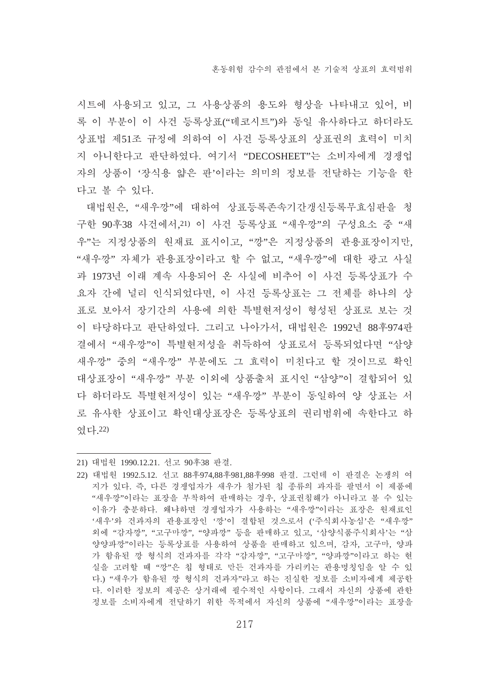시트에 사용되고 있고, 그 사용상품의 용도와 형상을 나타내고 있어, 비 록 이 부분이 이 사건 등록상표("데코시트")와 동일 유사하다고 하더라도 상표법 제51조 규정에 의하여 이 사건 등록상표의 상표권의 효력이 미치 지 아니한다고 판단하였다. 여기서 "DECOSHEET"는 소비자에게 경쟁업 자의 상품이 '장식용 얇은 판'이라는 의미의 정보를 전달하는 기능을 한 다고 볼 수 있다.

대법원은, "새우깡"에 대하여 상표등록존속기간갱신등록무효심판을 청 구한 90후38 사건에서, 21) 이 사건 등록상표 "새우깡"의 구성요소 중 "새 우"는 지정상품의 원재료 표시이고, "깡"은 지정상품의 관용표장이지만, "새우깡" 자체가 관용표장이라고 할 수 없고. "새우깡"에 대한 광고 사실 과 1973년 이래 계속 사용되어 온 사실에 비추어 이 사건 등록상표가 수 요자 간에 널리 인식되었다면. 이 사건 등록상표는 그 전체를 하나의 상 표로 보아서 장기간의 사용에 의한 특별현저성이 형성된 상표로 보는 것 이 타당하다고 판단하였다. 그리고 나아가서. 대법원은 1992년 88후974판 결에서 "새우깡"이 특별현저성을 취득하여 상표로서 등록되었다면 "삼양 새우깡" 중의 "새우깡" 부분에도 그 효력이 미친다고 할 것이므로 확인 대상표장이 "새우깡"부분 이외에 상품출처 표시인 "삼양"이 결합되어 있 다 하더라도 특별현저성이 있는 "새우깡" 부분이 동일하여 양 상표는 서 로 유사한 상표이고 확인대상표장은 등록상표의 권리범위에 속한다고 하 였다. 22)

<sup>21)</sup> 대법원 1990.12.21. 선고 90후38 판결.

<sup>22)</sup> 대법원 1992.5.12. 선고 88후974,88후981,88후998 판결. 그런데 이 판결은 논쟁의 여 지가 있다. 즉, 다른 경쟁업자가 새우가 첨가된 칩 종류의 과자를 팔면서 이 제품에 "새우깡"이라는 표장을 부착하여 판매하는 경우, 상표권침해가 아니라고 볼 수 있는 이유가 충분하다. 왜냐하면 경쟁업자가 사용하는 "새우깡"이라는 표장은 원재료인 '새우'와 건과자의 관용표장인 '깡'이 결합된 것으로서 ('주식회사농심'은 "새우깡" 외에 "감자깡", "고구마깡", "양파깡" 등을 판매하고 있고, '삼양식품주식회사'는 "삼 양양파깡"이라는 등록상표를 사용하여 상품을 판매하고 있으며, 감자, 고구마, 양파 가 함유된 깡 형식의 건과자를 각각 "감자깡". "고구마깡". "양파깡"이라고 하는 현 심을 고려할 때 "깡"은 칩 형태로 만든 건과자를 가리키는 관용명칭임을 알 수 있 다.) "새우가 함유된 깡 형식의 건과자"라고 하는 진실한 정보를 소비자에게 제공한 다. 이러한 정보의 제공은 상거래에 필수적인 사항이다. 그래서 자신의 상품에 과한 정보를 소비자에게 전달하기 위한 목적에서 자신의 상품에 "새우깡"이라는 표장을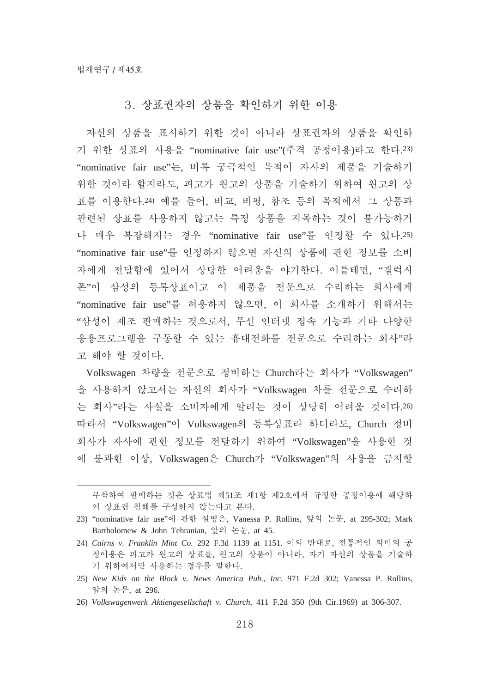## 3. 상표권자의 상품을 확인하기 위한 이용

자신의 상품을 표시하기 위한 것이 아니라 상표권자의 상품을 확인하 기 위한 상표의 사용을 "nominative fair use"(주격 공정이용)라고 한다.23) "nominative fair use"는, 비록 궁극적인 목적이 자사의 제품을 기술하기 위한 것이라 할지라도, 피고가 원고의 상품을 기술하기 위하여 원고의 상 표를 이용한다.24) 예를 들어, 비교, 비평, 참조 등의 목적에서 그 상품과 관련된 상표를 사용하지 않고는 특정 상품을 지목하는 것이 불가능하거 나 매우 복잡해지는 경우 "nominative fair use"를 인정할 수 있다.25) "nominative fair use"를 인정하지 않으면 자신의 상품에 관한 정보를 소비 자에게 전달함에 있어서 상당한 어려움을 야기한다. 이를테면, "갤럭시 폰"이 삼성의 등록상표이고 이 제품을 전문으로 수리하는 회사에게 "nominative fair use"를 허용하지 않으면, 이 회사를 소개하기 위해서는 "삼성이 제조 판매하는 것으로서, 무선 인터넷 접속 기능과 기타 다양한 응용프로그램을 구동할 수 있는 휴대전화를 전문으로 수리하는 회사"라 고 해야 할 것이다.

Volkswagen 차량을 전문으로 정비하는 Church라는 회사가 "Volkswagen" 을 사용하지 않고서는 자신의 회사가 "Volkswagen 차를 전문으로 수리하 는 회사"라는 사실을 소비자에게 알리는 것이 상당히 어려울 것이다.26) 따라서 "Volkswagen"이 Volkswagen의 등록상표라 하더라도, Church 정비 회사가 자사에 관한 정보를 전달하기 위하여 "Volkswagen"을 사용한 것 에 불과한 이상, Volkswagen은 Church가 "Volkswagen"의 사용을 금지할

부착하여 판매하는 것은 상표법 제51조 제1항 제2호에서 규정한 공정이용에 해당하 여 상표권 침해를 구성하지 않는다고 본다.

<sup>23) &</sup>quot;nominative fair use"에 관한 설명은, Vanessa P. Rollins, 앞의 논문, at 295-302; Mark Bartholomew & John Tehranian, 앞의 논문, at 45.

<sup>24)</sup> *Cairns v. Franklin Mint Co.* 292 F.3d 1139 at 1151. 이와 반대로, 전통적인 의미의 공 정이용은 피고가 원고의 상표를, 원고의 상품이 아니라, 자기 자신의 상품을 기술하 기 위하여서만 사용하는 경우를 말한다.

<sup>25)</sup> *New Kids on the Block v. News America Pub., Inc*. 971 F.2d 302; Vanessa P. Rollins, 앞의 논문, at 296.

<sup>26)</sup> *Volkswagenwerk Aktiengesellschaft v. Church*, 411 F.2d 350 (9th Cir.1969) at 306-307.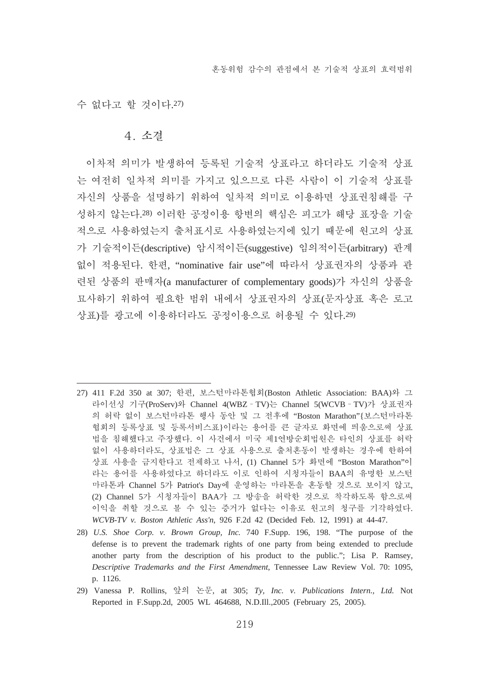수 없다고 할 것이다.27)

#### 4 소경

이차적 의미가 발생하여 등록된 기술적 상표라고 하더라도 기술적 상표 는 여전히 일차적 의미를 가지고 있으므로 다른 사람이 이 기술적 상표를 자신의 상품을 설명하기 위하여 일차적 의미로 이용하면 상표권침해를 구 성하지 않는다.28) 이러한 공정이용 항변의 핵심은 피고가 해당 표장을 기술 적으로 사용하였는지 출처표시로 사용하였는지에 있기 때문에 워고의 상표 가 기술적이든(descriptive) 암시적이든(suggestive) 임의적이든(arbitrary) 관계 없이 적용된다. 한편, "nominative fair use"에 따라서 상표권자의 상품과 관 련된 상품의 판매자(a manufacturer of complementary goods)가 자신의 상품을 묘사하기 위하여 필요한 범위 내에서 상표권자의 상표(문자상표 혹은 로고 상표)를 광고에 이용하더라도 공정이용으로 허용될 수 있다.29)

29) Vanessa P. Rollins, 獋畅 彩椥, at 305; *Ty, Inc. v. Publications Intern., Ltd.* Not Reported in F.Supp.2d, 2005 WL 464688, N.D.Ill.,2005 (February 25, 2005).

<sup>27) 411</sup> F.2d 350 at 307; 한편, 보스턴마라톤협회(Boston Athletic Association: BAA)와 그 라이선싱 기구(ProServ)와 Channel 4(WBZ - TV)는 Channel 5(WCVB - TV)가 상표권자 의 허락 없이 보스턴마라톤 행사 동안 및 그 전후에 "Boston Marathon" [보스턴마라톤 혂회의 등록상표 및 등록서비스표}이라는 용어를 큰 글자로 화면에 띄움으로써 상표 법을 침해했다고 주장했다. 이 사건에서 미국 제1연방순회법원은 타인의 상표를 허락 없이 사용하더라도, 상표법은 그 상표 사용으로 출처혼동이 발생하는 경우에 한하여 상표 사용을 금지한다고 전제하고 나서, (1) Channel 5가 화면에 "Boston Marathon"이 라는 용어를 사용하였다고 하더라도 이로 인하여 시청자들이 BAA의 유명한 보스턴 마라톤과 Channel 5가 Patriot's Day에 운영하는 마라톤을 혼동할 것으로 보이지 않고, (2) Channel 5가 시청자들이 BAA가 그 방송을 허락한 것으로 착각하도록 함으로써 이익을 취할 것으로 볼 수 있는 증거가 없다는 이유로 원고의 청구를 기각하였다. *WCVB-TV v. Boston Athletic Ass'n*, 926 F.2d 42 (Decided Feb. 12, 1991) at 44-47.

<sup>28)</sup> *U.S. Shoe Corp. v. Brown Group, Inc.* 740 F.Supp. 196, 198. "The purpose of the defense is to prevent the trademark rights of one party from being extended to preclude another party from the description of his product to the public."; Lisa P. Ramsey, *Descriptive Trademarks and the First Amendment*, Tennessee Law Review Vol. 70: 1095, p. 1126.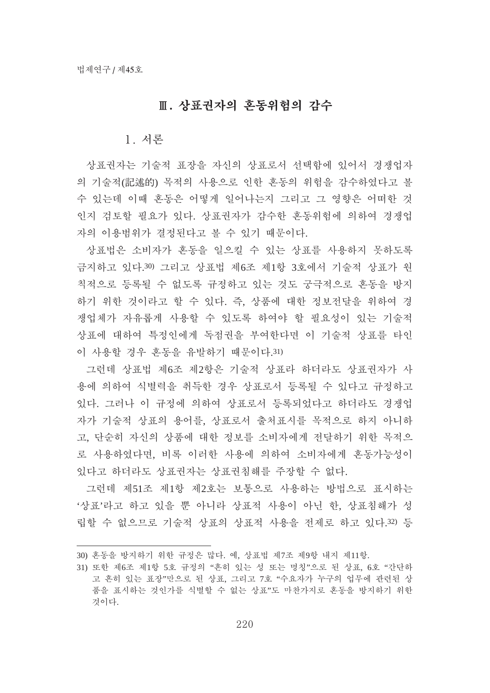# Ⅱ. 상표권자의 혼동위험의 감수

#### 1. 서론

상표권자는 기술적 표장을 자신의 상표로서 선택함에 있어서 경쟁업자 의 기술적(記述的) 목적의 사용으로 인한 혼동의 위험을 감수하였다고 볼 수 있는데 이때 혼동은 어떻게 일어나는지 그리고 그 영향은 어떠한 것 인지 검토할 필요가 있다. 상표권자가 감수한 혼동위험에 의하여 경쟁업 자의 이용범위가 결정된다고 볼 수 있기 때문이다.

상표법은 소비자가 혼동을 일으킬 수 있는 상표를 사용하지 못하도록 금지하고 있다.30) 그리고 상표법 제6조 제1항 3호에서 기술적 상표가 원 칙적으로 등록될 수 없도록 규정하고 있는 것도 궁극적으로 혼동을 방지 하기 위한 것이라고 할 수 있다. 즉, 상품에 대한 정보전달을 위하여 경 쟁업체가 자유롭게 사용할 수 있도록 하여야 할 필요성이 있는 기술적 상표에 대하여 특정인에게 독점권을 부여한다면 이 기술적 상표를 타인 이 사용할 경우 혼동을 유발하기 때문이다.31)

그런데 상표법 제6조 제2항은 기술적 상표라 하더라도 상표권자가 사 용에 의하여 식별력을 취득한 경우 상표로서 등록될 수 있다고 규정하고 있다. 그러나 이 규정에 의하여 상표로서 등록되었다고 하더라도 경쟁업 자가 기술적 상표의 용어를, 상표로서 출처표시를 목적으로 하지 아니하 고, 단순히 자신의 상품에 대한 정보를 소비자에게 전달하기 위한 목적으 로 사용하였다면, 비록 이러한 사용에 의하여 소비자에게 혼동가능성이 있다고 하더라도 상표권자는 상표권침해를 주장할 수 없다.

그런데 제51조 제1항 제2호는 보통으로 사용하는 방법으로 표시하는 '상표'라고 하고 있을 뿐 아니라 상표적 사용이 아닌 한, 상표침해가 성 립할 수 없으므로 기술적 상표의 상표적 사용을 전제로 하고 있다.32) 등

<sup>30)</sup> 혼동을 방지하기 위한 규정은 많다. 예, 상표법 제7조 제9항 내지 제11항.

<sup>31)</sup> 또한 제6조 제1항 5호 규정의 "흔히 있는 성 또는 명칭"으로 된 상표, 6호 "간단하 고 흔히 있는 표장"만으로 된 상표, 그리고 7호 "수요자가 누구의 업무에 관련된 상 품을 표시하는 것인가를 식별할 수 없는 상표"도 마찬가지로 혼동을 방지하기 위한 것이다.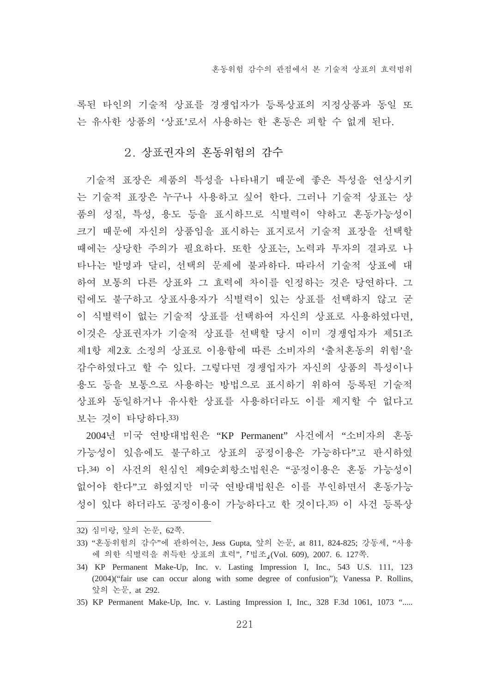록된 타인의 기술적 상표를 경쟁업자가 등록상표의 지정상품과 동일 또 는 유사한 상품의 '상표'로서 사용하는 한 혼동은 피할 수 없게 된다.

#### 2. 상표권자의 혼동위험의 감수

기술적 표장은 제품의 특성을 나타내기 때문에 좋은 특성을 연상시키 는 기술적 표장은 누구나 사용하고 싶어 한다. 그러나 기술적 상표는 상 품의 성질, 특성, 용도 등을 표시하므로 식별력이 약하고 혼동가능성이 크기 때문에 자신의 상품임을 표시하는 표지로서 기술적 표장을 선택할 때에는 상당한 주의가 필요하다. 또한 상표는, 노력과 투자의 결과로 나 타나는 발명과 달리, 선택의 문제에 불과하다. 따라서 기술적 상표에 대 하여 보통의 다른 상표와 그 효력에 차이를 인정하는 것은 당연하다. 그 럼에도 불구하고 상표사용자가 식별력이 있는 상표를 선택하지 않고 굳 이 식별력이 없는 기술적 상표를 선택하여 자신의 상표로 사용하였다면, 이것은 상표권자가 기술적 상표를 선택할 당시 이미 경쟁업자가 제51조 제1항 제2호 소정의 상표로 이용함에 따른 소비자의 '출처혼동의 위험'을 감수하였다고 할 수 있다. 그렇다면 경쟁업자가 자신의 상품의 특성이나 용도 등을 보통으로 사용하는 방법으로 표시하기 위하여 등록된 기술적 상표와 동일하거나 유사한 상표를 사용하더라도 이를 제지할 수 없다고 보는 것이 타당하다.33)

2004년 미국 연방대법원은 "KP Permanent" 사건에서 "소비자의 혼동 가능성이 있음에도 불구하고 상표의 공정이용은 가능하다"고 판시하였 다.34) 이 사건의 원심인 제9순회항소법원은 "공정이용은 혼동 가능성이 없어야 한다"고 하였지만 미국 연방대법원은 이를 부인하면서 혼동가능 성이 있다 하더라도 공정이용이 가능하다고 한 것이다.35) 이 사건 등록상

- 32) 심미랑, 앞의 논문, 62쪽.
- 33) "혼동위험의 감수"에 관하여는, Jess Gupta, 앞의 논문, at 811, 824-825; 강동세, "사용 에 의한 식별력을 취득한 상표의 효력", 「법조」(Vol. 609), 2007. 6. 127쪽.
- 34) KP Permanent Make-Up, Inc. v. Lasting Impression I, Inc., 543 U.S. 111, 123 (2004)("fair use can occur along with some degree of confusion"); Vanessa P. Rollins, 앞의 논문, at 292.
- 35) KP Permanent Make-Up, Inc. v. Lasting Impression I, Inc., 328 F.3d 1061, 1073 ".....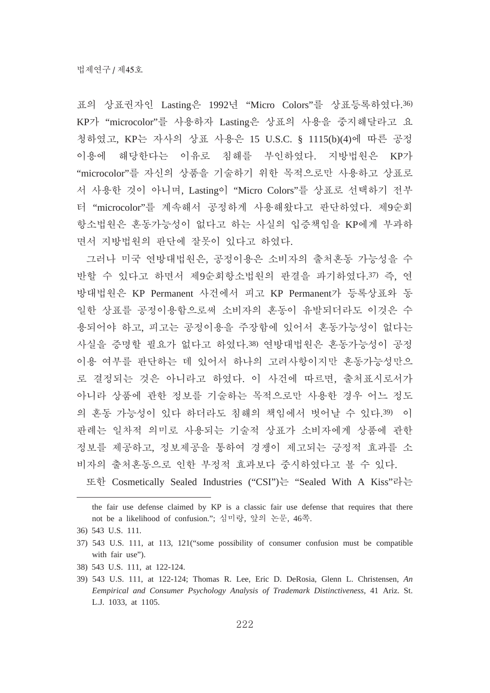표의 상표권자인 Lasting은 1992년 "Micro Colors"를 상표등록하였다.36) KP가 "microcolor"를 사용하자 Lasting은 상표의 사용을 중지해달라고 요 청하였고, KP는 자사의 상표 사용은 15 U.S.C. § 1115(b)(4)에 따른 공정 이용에 해당한다는 이유로 침해를 부인하였다. 지방법원은 KP가 "microcolor"를 자신의 상품을 기술하기 위한 목적으로만 사용하고 상표로 서 사용한 것이 아니며, Lasting이 "Micro Colors"를 상표로 선택하기 전부 터 "microcolor"를 계속해서 공정하게 사용해왔다고 판단하였다. 제9순회 항소법원은 혼동가능성이 없다고 하는 사실의 입증책임을 KP에게 부과하 면서 지방법원의 판단에 잘못이 있다고 하였다.

그러나 미국 여방대법원은, 공정이용은 소비자의 출처혼동 가능성을 수 반할 수 있다고 하면서 제9순회항소법원의 판결을 파기하였다.37) 즉, 연 방대법원은 KP Permanent 사건에서 피고 KP Permanent가 등록상표와 동 일한 상표를 공정이용함으로써 소비자의 혼동이 유발되더라도 이것은 수 용되어야 하고, 피고는 공정이용을 주장함에 있어서 혼동가능성이 없다는 사실을 증명할 필요가 없다고 하였다.38) 연방대법원은 혼동가능성이 공정 이용 여부를 판단하는 데 있어서 하나의 고려사항이지만 혼동가능성만으 로 결정되는 것은 아니라고 하였다. 이 사건에 따르면, 출처표시로서가 아니라 상품에 관한 정보를 기술하는 목적으로만 사용한 경우 어느 정도 의 혼동 가능성이 있다 하더라도 침해의 책임에서 벗어날 수 있다.39) 이 판례는 일차적 의미로 사용되는 기술적 상표가 소비자에게 상품에 관한 정보를 제공하고, 정보제공을 통하여 경쟁이 제고되는 긍정적 효과를 소 비자의 출처혼동으로 인한 부정적 효과보다 중시하였다고 볼 수 있다.

또한 Cosmetically Sealed Industries ("CSI")는 "Sealed With A Kiss"라는

- 37) 543 U.S. 111, at 113, 121("some possibility of consumer confusion must be compatible with fair use").
- 38) 543 U.S. 111, at 122-124.
- 39) 543 U.S. 111, at 122-124; Thomas R. Lee, Eric D. DeRosia, Glenn L. Christensen, *An Eempirical and Consumer Psychology Analysis of Trademark Distinctiveness*, 41 Ariz. St. L.J. 1033, at 1105.

the fair use defense claimed by KP is a classic fair use defense that requires that there not be a likelihood of confusion."; 심미랑, 앞의 논문, 46쪽.

<sup>36) 543</sup> U.S. 111.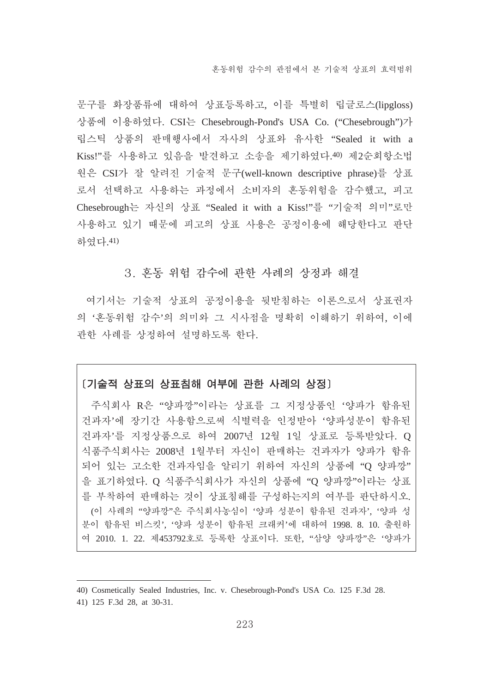문구를 화장품류에 대하여 상표등록하고, 이를 특별히 립글로스(lipgloss) 상품에 이용하였다. CSI는 Chesebrough-Pond's USA Co. ("Chesebrough")가 립스틱 상품의 판매행사에서 자사의 상표와 유사한 "Sealed it with a Kiss!"를 사용하고 있음을 발견하고 소송을 제기하였다.40) 제2순회항소법 원은 CSI가 잘 알려진 기술적 문구(well-known descriptive phrase)를 상표 로서 선택하고 사용하는 과정에서 소비자의 혼동위험을 감수했고, 피고 Chesebrough는 자신의 상표 "Sealed it with a Kiss!"를 "기술적 의미"로만 사용하고 있기 때문에 피고의 상표 사용은 공정이용에 해당한다고 판단 하였다.41)

#### 3. 혼동 위험 감수에 과한 사례의 상정과 해결

여기서는 기술적 상표의 공정이용을 뒷받침하는 이론으로서 상표권자 의 '혼동위험 감수'의 의미와 그 시사점을 명확히 이해하기 위하여, 이에 관한 사례를 상정하여 설명하도록 한다.

#### [기술적 상표의 상표침해 여부에 관한 사례의 상정]

주식회사 R은 "양파깡"이라는 상표를 그 지정상품이 '양파가 함유된 건과자'에 장기간 사용함으로써 식별력을 인정받아 '양파성분이 함유된 건과자'를 지정상품으로 하여 2007년 12월 1일 상표로 등록받았다. O 식품주식회사는 2008년 1월부터 자신이 판매하는 건과자가 양파가 함유 되어 있는 고소한 건과자임을 알리기 위하여 자신의 상품에 "O 양파깡" 을 표기하였다. O 식품주식회사가 자신의 상품에 "O 양파깡"이라는 상표 를 부착하여 판매하는 것이 상표침해를 구성하는지의 여부를 판단하시오. (이 사례의 "양파깡"은 주식회사농심이 '양파 성분이 함유된 건과자', '양파 성 분이 함유된 비스킷', '양파 성분이 함유된 크래커'에 대하여 1998. 8. 10. 출원하 여 2010. 1. 22. 제453792호로 등록한 상표이다. 또한, "삼양 양파깡"은 '양파가

<sup>40)</sup> Cosmetically Sealed Industries, Inc. v. Chesebrough-Pond's USA Co. 125 F.3d 28.

<sup>41) 125</sup> F.3d 28, at 30-31.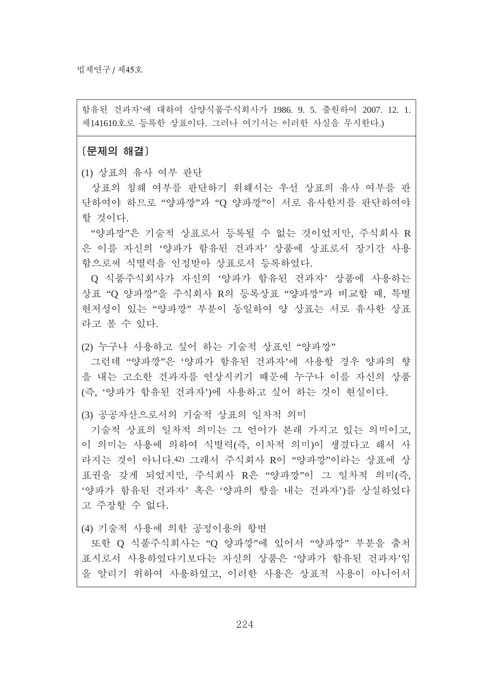함유된 건과자'에 대하여 삼양식품주식회사가 1986. 9. 5. 출원하여 2007. 12. 1. 제141610호로 등록한 상표이다. 그러나 여기서는 이러한 사실을 무시한다.)

[문제의 해결]

(1) 상표의 유사 여부 판단

상표의 침해 여부를 판단하기 위해서는 우선 상표의 유사 여부를 판 단하여야 하므로 "양파깡"과 "O 양파깡"이 서로 유사한지를 판단하여야 할 것이다.

"양파깡"은 기술적 상표로서 등록될 수 없는 것이었지만, 주식회사 R 은 이를 자신의 '양파가 함유된 건과자' 상품에 상표로서 장기간 사용 함으로써 식별력을 인정받아 상표로서 등록하였다.

O 식품주식회사가 자신의 '양파가 함유된 건과자' 상품에 사용하는 상표 "O 양파깡"을 주식회사 R의 등록상표 "양파깡"과 비교할 때. 특별 현저성이 있는 "양파깡" 부분이 동일하여 양 상표는 서로 유사한 상표 라고 볼 수 있다.

(2) 누구나 사용하고 싶어 하는 기술적 상표인 "양파깡"

그런데 "양파깡"은 '양파가 함유된 건과자'에 사용할 경우 양파의 향 을 내는 고소한 건과자를 연상시키기 때문에 누구나 이를 자신의 상품 (즉, '양파가 함유된 거과자')에 사용하고 싶어 하는 것이 현실이다.

(3) 공공자산으로서의 기술적 상표의 일차적 의미

기술적 상표의 일차적 의미는 그 언어가 본래 가지고 있는 의미이고. 이 의미는 사용에 의하여 식별력(즉, 이차적 의미)이 생겼다고 해서 사 라지는 것이 아니다.42) 그래서 주식회사 R이 "양파깡"이라는 상표에 상 표권을 갖게 되었지만, 주식회사 R은 "양파깡"이 그 일차적 의미(즉, '양파가 함유된 건과자' 혹은 '양파의 향을 내는 건과자')를 상실하였다 고 주장할 수 없다.

(4) 기술적 사용에 의한 공정이용의 항변

또한 O 식품주식회사는 "O 양파깡"에 있어서 "양파깡" 부부을 출처 표시로서 사용하였다기보다는 자신의 상품은 '양파가 함유된 건과자'임 을 알리기 위하여 사용하였고, 이러한 사용은 상표적 사용이 아니어서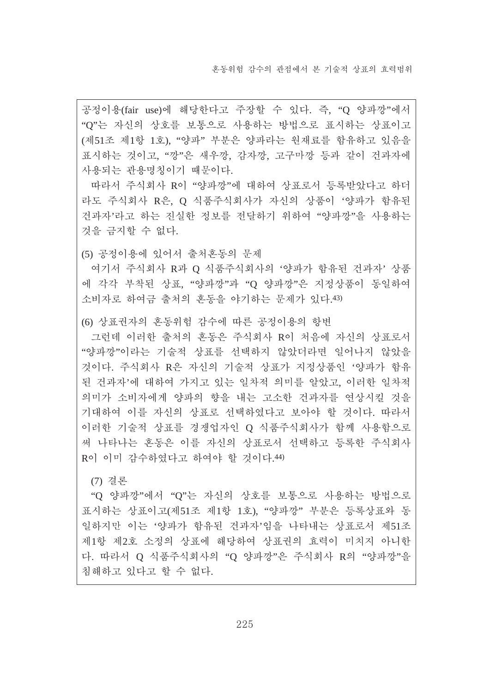공정이용(fair use)에 해당한다고 주장할 수 있다. 즉, "O 양파깡"에서 "Q"는 자신의 상호를 보통으로 사용하는 방법으로 표시하는 상표이고 (제51조 제1항 1호), "양파" 부분은 양파라는 원재료를 함유하고 있음을 표시하는 것이고, "깡"은 새우깡, 감자깡, 고구마깡 등과 같이 건과자에 사용되는 관용명칭이기 때문이다.

따라서 주식회사 R이 "양파깡"에 대하여 상표로서 등록받았다고 하더 라도 주식회사 R은, O 식품주식회사가 자신의 상품이 '양파가 함유된 건과자'라고 하는 진실한 정보를 전달하기 위하여 "양파깡"을 사용하는 것을 금지할 수 없다.

(5) 공정이용에 있어서 출처혼동의 문제

여기서 주식회사 R과 O 식품주식회사의 '양파가 함유된 건과자' 상품 에 각각 부착되 상표. "양파깡"과 "O 양파깡"은 지정상품이 동일하여 소비자로 하여금 출처의 혼동을 야기하는 문제가 있다.43)

(6) 상표권자의 혼동위험 감수에 따른 공정이용의 항변

그런데 이러한 출처의 혼동은 주식회사 R이 처음에 자신의 상표로서 "양파깡"이라는 기술적 상표를 선택하지 않았더라면 일어나지 않았을 것이다. 주식회사 R은 자신의 기술적 상표가 지정상품인 '양파가 함유 된 건과자'에 대하여 가지고 있는 일차적 의미를 알았고. 이러한 일차적 의미가 소비자에게 양파의 향을 내는 고소한 건과자를 연상시킬 것을 기대하여 이를 자신의 상표로 선택하였다고 보아야 할 것이다. 따라서 이러한 기술적 상표를 경쟁업자인 O 식품주식회사가 함께 사용함으로 써 나타나는 혼동은 이를 자신의 상표로서 선택하고 등록한 주식회사 R이 이미 감수하였다고 하여야 할 것이다.44)

(7) 결론

"O 양파깡"에서 "O"는 자신의 상호를 보통으로 사용하는 방법으로 표시하는 상표이고(제51조 제1항 1호), "양파깡" 부분은 등록상표와 동 일하지만 이는 '양파가 함유된 건과자'임을 나타내는 상표로서 제51조 제1항 제2호 소정의 상표에 해당하여 상표권의 효력이 미치지 아니한 다. 따라서 O 식품주식회사의 "O 양파깡"은 주식회사 R의 "양파깡"을 침해하고 있다고 할 수 없다.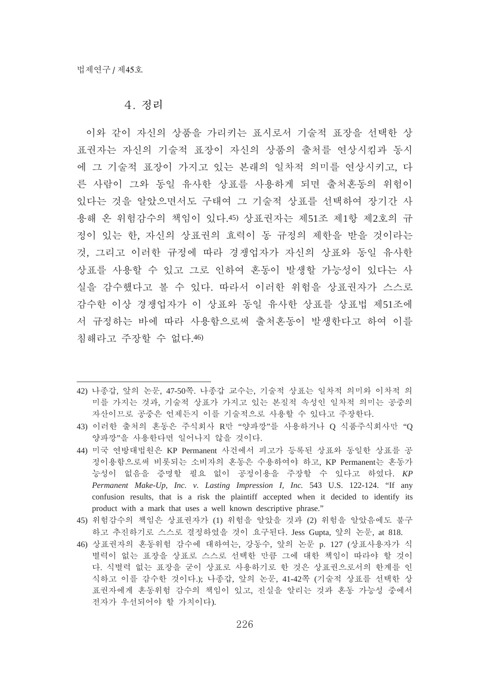#### 4. 정리

이와 같이 자신의 상품을 가리키는 표시로서 기술적 표장을 선택한 상 표권자는 자신의 기술적 표장이 자신의 상품의 출처를 연상시킴과 동시 에 그 기술적 표장이 가지고 있는 본래의 일차적 의미를 연상시키고, 다 른 사람이 그와 동일 유사한 상표를 사용하게 되면 출처혼동의 위험이 있다는 것을 알았으면서도 구태여 그 기술적 상표를 선택하여 장기간 사 용해 온 위험감수의 책임이 있다.45) 상표권자는 제51조 제1항 제2호의 규 정이 있는 한, 자신의 상표권의 효력이 동 규정의 제한을 받을 것이라는 것, 그리고 이러한 규정에 따라 경쟁업자가 자신의 상표와 동일 유사한 상표를 사용할 수 있고 그로 인하여 혼동이 발생할 가능성이 있다는 사 실을 감수했다고 볼 수 있다. 따라서 이러한 위험을 상표권자가 스스로 감수한 이상 경쟁업자가 이 상표와 동일 유사한 상표를 상표법 제51조에 서 규정하는 바에 따라 사용함으로써 출처혼동이 발생한다고 하여 이를 침해라고 주장할 수 없다.46)

- 42) 나종갑, 앞의 논문, 47-50쪽. 나종갑 교수는, 기술적 상표는 일차적 의미와 이차적 의 미를 가지는 것과, 기술적 상표가 가지고 있는 본질적 속성인 일차적 의미는 공중의 자산이므로 공중은 언제든지 이를 기술적으로 사용할 수 있다고 주장한다.
- 43) 이러한 출처의 혼동은 주식회사 R만 "양파깡"를 사용하거나 O 식품주식회사만 "O 양파깡"을 사용한다면 일어나지 않을 것이다.
- 44) 미국 연방대법원은 KP Permanent 사건에서 피고가 등록된 상표와 동일한 상표를 공 정이용함으로써 비롯되는 소비자의 혼동은 수용하여야 하고, KP Permanent는 혼동가 능성이 없음을 증명할 필요 없이 공정이용을 주장할 수 있다고 하였다. KP *Permanent Make-Up, Inc. v. Lasting Impression I, Inc.* 543 U.S. 122-124. "If any confusion results, that is a risk the plaintiff accepted when it decided to identify its product with a mark that uses a well known descriptive phrase."
- 45) 위험감수의 책임은 상표권자가 (1) 위험을 알았을 것과 (2) 위험을 알았음에도 불구 하고 추진하기로 스스로 결정하였을 것이 요구된다. Jess Gupta, 앞의 논문, at 818.
- 46) 상표권자의 혼동위험 감수에 대하여는, 강동수, 앞의 논문 p. 127 (상표사용자가 식 별력이 없는 표장을 상표로 스스로 선택한 만큼 그에 대한 책임이 따라야 할 것이 다. 식별력 없는 표장을 굳이 상표로 사용하기로 한 것은 상표권으로서의 한계를 인 식하고 이를 감수한 것이다.); 나종갑, 앞의 논문, 41-42쪽 (기술적 상표를 선택한 상 표권자에게 혼동위험 감수의 책임이 있고, 진실을 알리는 것과 혼동 가능성 중에서 전자가 우선되어야 할 가치이다).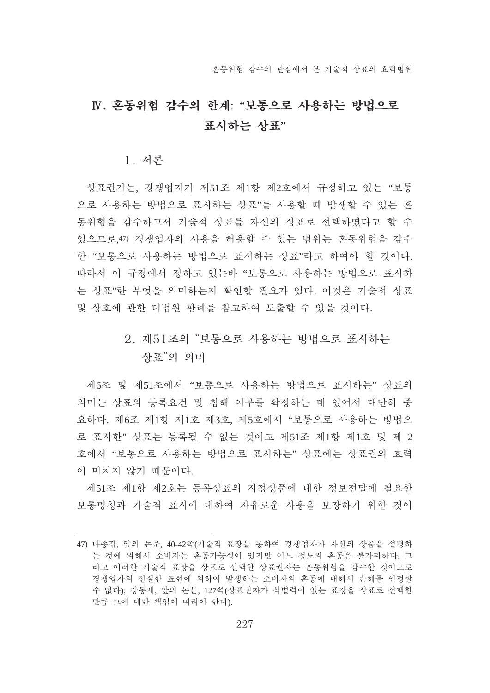# $N.$  혼동위험 감수의 한계: "보통으로 사용하는 방법으로 표시하는 상표"

1. 서론

상표권자는, 경쟁업자가 제51조 제1항 제2호에서 규정하고 있는 "보통 으로 사용하는 방법으로 표시하는 상표"를 사용할 때 발생할 수 있는 혼 동위험을 감수하고서 기술적 상표를 자신의 상표로 선택하였다고 할 수 있으므로.47) 경쟁업자의 사용을 허용할 수 있는 범위는 혼동위험을 감수 한 "보통으로 사용하는 방법으로 표시하는 상표"라고 하여야 할 것이다. 따라서 이 규정에서 정하고 있는바 "보통으로 사용하는 방법으로 표시하 는 상표"란 무엇을 의미하는지 확인할 필요가 있다. 이것은 기술적 상표 및 상호에 관한 대법원 판례를 참고하여 도출할 수 있을 것이다.

# 2. 제51조의 "보통으로 사용하는 방법으로 표시하는 상표"의 의미

제6조 및 제51조에서 "보통으로 사용하는 방법으로 표시하는" 상표의 의미는 상표의 등록요건 및 침해 여부를 확정하는 데 있어서 대단히 중 요하다. 제6조 제1항 제1호 제3호. 제5호에서 "보통으로 사용하는 방법으 로 표시한" 상표는 등록될 수 없는 것이고 제51조 제1항 제1호 및 제 2 호에서 "보통으로 사용하는 방법으로 표시하는" 상표에는 상표권의 효력 이 미치지 않기 때문이다.

제51조 제1항 제2호는 등록상표의 지정상품에 대한 정보전달에 필요한 보통명칭과 기술적 표시에 대하여 자유로운 사용을 보장하기 위한 것이

<sup>47)</sup> 나종갑, 앞의 논문, 40-42쪽(기술적 표장을 통하여 경쟁업자가 자신의 상품을 설명하 는 것에 의해서 소비자는 혼동가능성이 있지만 어느 정도의 혼동은 불가피하다. 그 리고 이러한 기술적 표장을 상표로 서택한 상표권자는 혼동위험을 감수한 것이므로 경쟁업자의 진실한 표현에 의하여 발생하는 소비자의 혼동에 대해서 손해를 인정할 수 없다); 강동세, 앞의 논문, 127쪽(상표권자가 식별력이 없는 표장을 상표로 선택한 만큼 그에 대한 책임이 따라야 한다).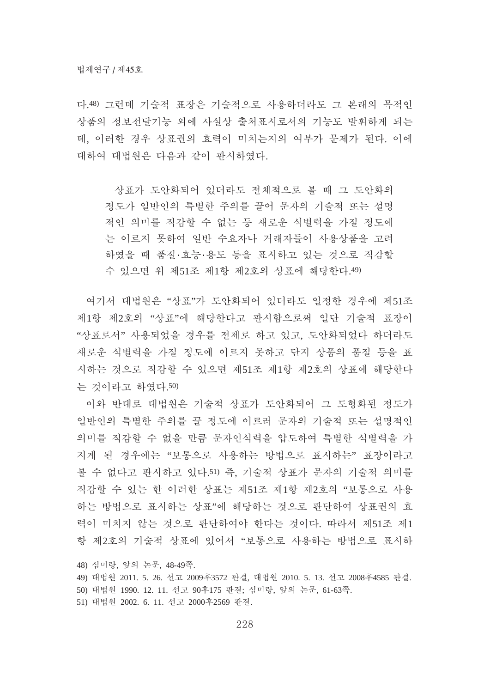다.48) 그런데 기술적 표장은 기술적으로 사용하더라도 그 본래의 목적인 상품의 정보전달기능 외에 사실상 출처표시로서의 기능도 발휘하게 되는 데, 이러한 경우 상표권의 효력이 미치는지의 여부가 문제가 된다. 이에 대하여 대법원은 다음과 같이 판시하였다.

상표가 도안화되어 있더라도 전체적으로 볼 때 그 도안화의 정도가 일반이의 특별한 주의를 끌어 문자의 기술적 또는 설명 적인 의미를 직감할 수 없는 등 새로운 식별력을 가질 정도에 는 이르지 못하여 일반 수요자나 거래자들이 사용상품을 고려 하였을 때 품질·효능·용도 등을 표시하고 있는 것으로 직감할 수 있으면 위 제51조 제1항 제2호의 상표에 해당한다.49)

여기서 대법원은 "상표"가 도안화되어 있더라도 일정한 경우에 제51조 제1항 제2호의 "상표"에 해당한다고 판시함으로써 일단 기술적 표장이 "상표로서" 사용되었을 경우를 전제로 하고 있고, 도안화되었다 하더라도 새로운 식별력을 가질 정도에 이르지 못하고 단지 상품의 품질 등을 표 시하는 것으로 직감할 수 있으면 제51조 제1항 제2호의 상표에 해당한다 는 것이라고 하였다.50)

이와 반대로 대법원은 기술적 상표가 도안화되어 그 도형화된 정도가 일반인의 특별한 주의를 끌 정도에 이르러 문자의 기술적 또는 설명적인 의미를 직감할 수 없을 만큼 문자인식력을 압도하여 특별한 식별력을 가 지게 된 경우에는 "보통으로 사용하는 방법으로 표시하는" 표장이라고 볼 수 없다고 판시하고 있다.51) 즉, 기술적 상표가 문자의 기술적 의미를 직감할 수 있는 한 이러한 상표는 제51조 제1항 제2호의 "보통으로 사용 하는 방법으로 표시하는 상표"에 해당하는 것으로 판단하여 상표권의 효 력이 미치지 않는 것으로 판단하여야 한다는 것이다. 따라서 제51조 제1 항 제2호의 기술적 상표에 있어서 "보통으로 사용하는 방법으로 표시하

- 48) 심미랑, 앞의 논문, 48-49쪽.
- 49) 대법원 2011. 5. 26. 선고 2009후3572 판결, 대법원 2010. 5. 13. 선고 2008후4585 판결.
- 50) 대법원 1990. 12. 11. 선고 90후175 판결; 심미랑, 앞의 논문, 61-63쪽.
- 51) 대법원 2002. 6. 11. 선고 2000후2569 판결.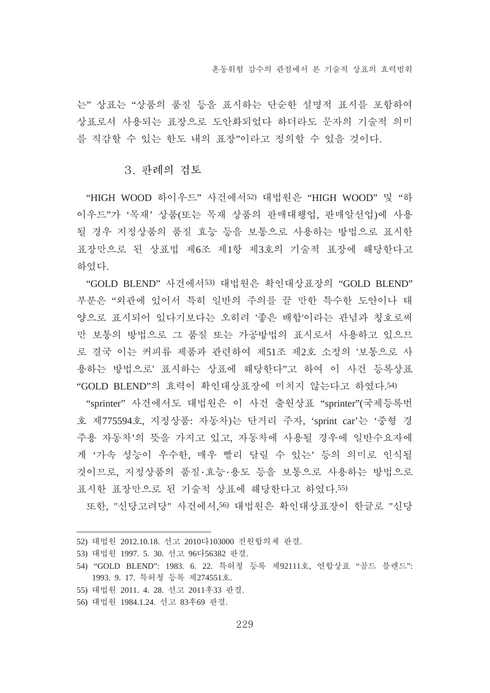는" 상표는 "상품의 품질 등을 표시하는 단순한 설명적 표시를 포함하여 상표로서 사용되는 표장으로 도안화되었다 하더라도 문자의 기술적 의미 를 직감할 수 있는 한도 내의 표장"이라고 정의할 수 있을 것이다.

#### 3. 판례의 검토

"HIGH WOOD 하이우드" 사건에서52) 대법원은 "HIGH WOOD" 및 "하 이우드"가 '목재' 상품(또는 목재 상품의 판매대행업, 판매알선업)에 사용 될 경우 지정상품의 품질 효능 등을 보통으로 사용하는 방법으로 표시한 표장만으로 된 상표법 제6조 제1항 제3호의 기술적 표장에 해당한다고 하였다.

"GOLD BLEND" 사건에서53) 대법원은 확인대상표장의 "GOLD BLEND" 부분은 "외관에 있어서 특히 일반의 주의를 끌 만한 특수한 도안이나 태 양으로 표시되어 있다기보다는 오히려 '좋은 배합'이라는 관념과 칭호로써 만 보통의 방법으로 그 품질 또는 가공방법의 표시로서 사용하고 있으므 로 결국 이는 커피류 제품과 관련하여 제51조 제2호 소정의 '보통으로 사 용하는 방법으로' 표시하는 상표에 해당한다"고 하여 이 사건 등록상표 "GOLD BLEND"의 효력이 확인대상표장에 미치지 않는다고 하였다.54)

"sprinter" 사건에서도 대법원은 이 사건 출원상표 "sprinter"(국제등록번 호 제775594호, 지정상품: 자동차)는 단거리 주자, 'sprint car'는 '중형 경 주용 자동차'의 뜻을 가지고 있고, 자동차에 사용될 경우에 일반수요자에 게 '가속 성능이 우수한, 매우 빨리 달릴 수 있는' 등의 의미로 인식될 것이므로, 지정상품의 품질·효능·용도 등을 보통으로 사용하는 방법으로 표시한 표장만으로 된 기술적 상표에 해당한다고 하였다.55)

또한, "신당고려당" 사건에서,56) 대법원은 확인대상표장이 한글로 "신당

- 52) 대법원 2012.10.18. 선고 2010다103000 전원합의체 판결.
- 53) 대법원 1997. 5. 30. 선고 96다56382 판결.
- 54) "GOLD BLEND": 1983. 6. 22. 특허청 등록 제92111호, 연합상표 "골드 블렌드": 1993. 9. 17. 특허청 등록 제274551호.
- 55) 대법원 2011. 4. 28. 선고 2011후33 판결.
- 56) 대법원 1984.1.24. 선고 83후69 판결.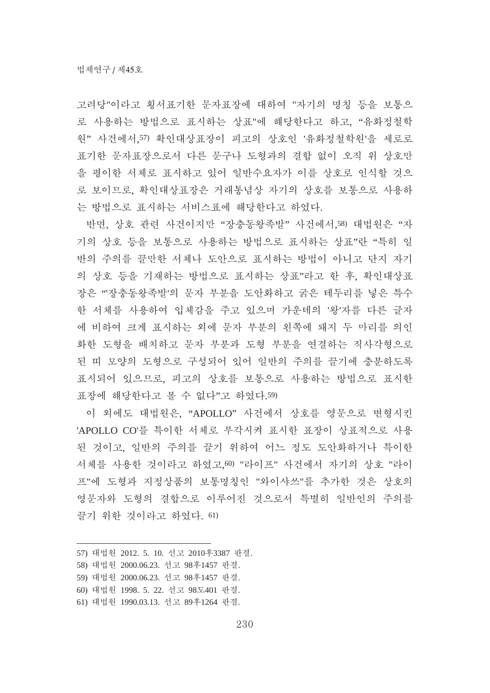고려당"이라고 횡서표기한 문자표장에 대하여 "자기의 명칭 등을 보통으 로 사용하는 방법으로 표시하는 상표"에 해당한다고 하고, "유화정철학 워" 사건에서,57) 확인대상표장이 피고의 상호인 '유화정철학원'을 세로로 표기한 문자표장으로서 다른 문구나 도형과의 결합 없이 오직 위 상호만 을 평이한 서체로 표시하고 있어 일반수요자가 이를 상호로 인식할 것으 로 보이므로, 확인대상표장은 거래통념상 자기의 상호를 보통으로 사용하 는 방법으로 표시하는 서비스표에 해당한다고 하였다.

반면, 상호 관련 사건이지만 "장충동왕족발" 사건에서,58) 대법원은 "자 기의 상호 등을 보통으로 사용하는 방법으로 표시하는 상표"라"특히 일 반의 주의를 끌만한 서체나 도안으로 표시하는 방법이 아니고 단지 자기 의 상호 등을 기재하는 방법으로 표시하는 상표"라고 한 후, 확인대상표 장은 "'장충동왕족발'의 문자 부분을 도안화하고 굵은 테두리를 넣은 특수 한 서체를 사용하여 입체감을 주고 있으며 가운데의 '왕'자를 다른 글자 에 비하여 크게 표시하는 외에 문자 부분의 왼쪽에 돼지 두 마리를 의인 화한 도형을 배치하고 문자 부분과 도형 부분을 연결하는 직사각형으로 된 띠 모양의 도형으로 구성되어 있어 일반의 주의를 끌기에 충분하도록 표시되어 있으므로, 피고의 상호를 보통으로 사용하는 방법으로 표시한 표장에 해당한다고 볼 수 없다"고 하였다.59)

이 외에도 대법원은, "APOLLO" 사건에서 상호를 영문으로 변형시키 'APOLLO CO'를 특이한 서체로 부각시켜 표시한 표장이 상표적으로 사용 된 것이고, 일반의 주의를 끌기 위하여 어느 정도 도안화하거나 특이한 서체를 사용한 것이라고 하였고,60) "라이프" 사건에서 자기의 상호 "라이 프"에 도형과 지정상품의 보통명칭인 "와이샤쓰"를 추가한 것은 상호의 영문자와 도형의 결합으로 이루어진 것으로서 특별히 일반인의 주의를 끌기 위한 것이라고 하였다. 61)

<sup>57)</sup> 대법원 2012. 5. 10. 선고 2010후3387 판결.

<sup>58)</sup> 대법원 2000.06.23. 선고 98후1457 판결.

<sup>59)</sup> 대법원 2000.06.23. 선고 98후1457 판결.

<sup>60)</sup> 대법원 1998. 5. 22. 선고 98도401 판결.

<sup>61)</sup> 대법원 1990.03.13. 선고 89후1264 판결.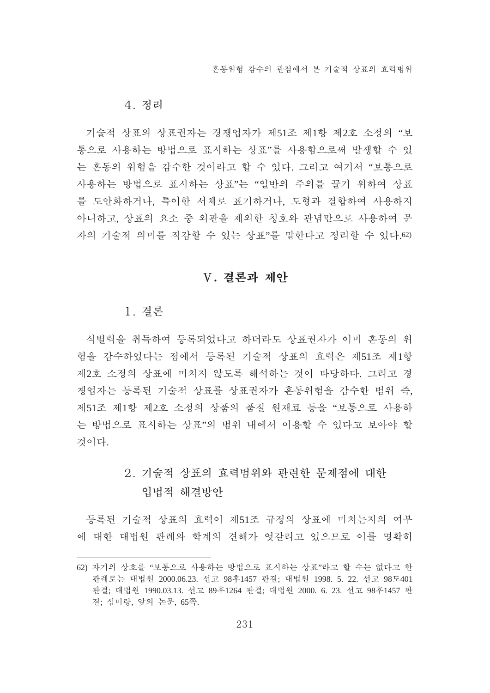#### 4. 정리

기술적 상표의 상표권자는 경쟁업자가 제51조 제1항 제2호 소정의 "보 통으로 사용하는 방법으로 표시하는 상표"를 사용함으로써 발생할 수 있 는 혼동의 위험을 감수한 것이라고 할 수 있다. 그리고 여기서 "보통으로 자용하는 방법으로 표시하는 상표"는 "일반의 주의를 끌기 위하여 상표 를 도안화하거나. 특이한 서체로 표기하거나. 도형과 결합하여 사용하지 아니하고, 상표의 요소 중 외관을 제외한 칭호와 관념만으로 사용하여 문 자의 기술적 의미를 직감할 수 있는 상표"를 말한다고 정리할 수 있다.62)

#### V. 결론과 제안

#### 1. 경론

식별력을 취득하여 등록되었다고 하더라도 상표권자가 이미 혼동의 위 험을 감수하였다는 점에서 등록된 기술적 상표의 효력은 제51조 제1항 제2호 소정의 상표에 미치지 않도록 해석하는 것이 타당하다. 그리고 경 쟁업자는 등록된 기술적 상표를 상표권자가 혼동위험을 감수한 범위 즉, 제51조 제1항 제2호 소정의 상품의 품질 원재료 등을 "보통으로 사용하 는 방법으로 표시하는 상표"의 범위 내에서 이용할 수 있다고 보아야 할 것이다.

# 2. 기술적 상표의 효력범위와 관력한 무제적에 대한 입법적 해결방안

등록된 기술적 상표의 효력이 제51조 규정의 상표에 미치는지의 여부 에 대한 대법원 판례와 학계의 견해가 엇갈리고 있으므로 이를 명확히

<sup>62)</sup> 자기의 상호를 "보통으로 사용하는 방법으로 표시하는 상표"라고 할 수는 없다고 한 판례로는 대법원 2000.06.23. 선고 98후1457 판결; 대법원 1998. 5. 22. 선고 98도401 판결; 대법원 1990.03.13. 선고 89후1264 판결; 대법원 2000. 6. 23. 선고 98후1457 판 결; 심미랑, 앞의 논문, 65쪽.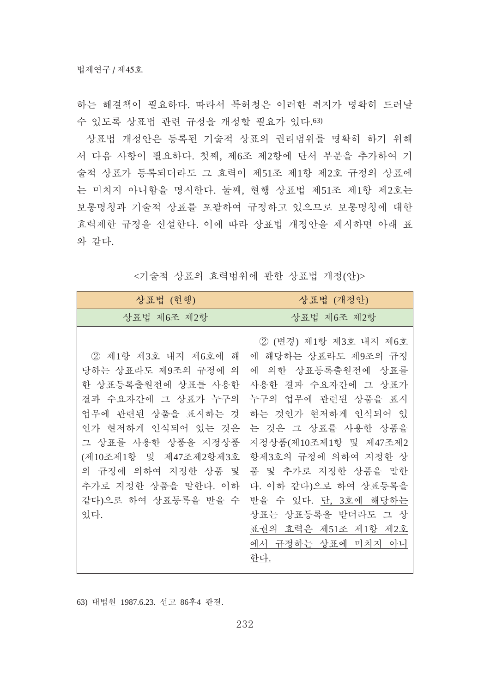하는 해결책이 필요하다. 따라서 특허청은 이러한 취지가 명확히 드러날 수 있도록 상표법 관련 규정을 개정할 필요가 있다.63)

상표법 개정안은 등록된 기술적 상표의 권리범위를 명확히 하기 위해 서 다음 사항이 필요하다. 첫째, 제6조 제2항에 단서 부분을 추가하여 기 술적 상표가 등록되더라도 그 효력이 제51조 제1항 제2호 규정의 상표에 는 미치지 아니함을 명시한다. 둘째, 현행 상표법 제51조 제1항 제2호는 보통명칭과 기술적 상표를 포괄하여 규정하고 있으므로 보통명칭에 대한 효력제한 규정을 신설한다. 이에 따라 상표법 개정안을 제시하면 아래 표 와 같다.

| 상표법 (현행)                                                                                                                                                                                                                                                        | 상표법 (개정안)                                                                                                                                                                                                                                                                                                                                                        |
|-----------------------------------------------------------------------------------------------------------------------------------------------------------------------------------------------------------------------------------------------------------------|------------------------------------------------------------------------------------------------------------------------------------------------------------------------------------------------------------------------------------------------------------------------------------------------------------------------------------------------------------------|
| 상표법 제6조 제2항                                                                                                                                                                                                                                                     | 상표법 제6조 제2항                                                                                                                                                                                                                                                                                                                                                      |
| ② 제1항 제3호 내지 제6호에<br>해<br>당하는 상표라도 제9조의 규정에 의<br>한 상표등록출원전에 상표를 사용한<br>결과 수요자간에 그 상표가 누구의<br>업무에 관련된 상품을 표시하는 것<br>인가 현저하게 인식되어 있는 것은<br>그 상표를 사용한 상품을 지정상품<br>(제10조제1항 및 제47조제2항제3호<br>의 규정에 의하여 지정한 상품 및<br>추가로 지정한 상품을 말한다. 이하<br>같다)으로 하여 상표등록을 받을 수<br>있다. | ② (변경) 제1항 제3호 내지 제6호<br>에 해당하는 상표라도 제9조의 규정<br>에<br>의한 상표등록출원전에 상표를<br>사용한 결과 수요자간에 그 상표가<br>업무에 관련된 상품을 표시<br>누구의<br>하는 것인가 현저하게 인식되어 있<br>는 것은 그 상표를 사용한 상품을<br>지정상품(제10조제1항 및 제47조제2<br>항제3호의 규정에 의하여 지정한 상<br>품 및 추가로 지정한 상품을 말한<br>다. 이하 같다)으로 하여 상표등록을<br>받을 수 있다. 단, 3호에 해당하는<br>상표는 상표등록을 받더라도 그 상<br>표권의 효력은 제51조 제1항 제2호<br>에서 규정하는 상표에 미치지 아니<br>한다. |

<기술적 상표의 효력범위에 관한 상표법 개정(안)>

63) 대법원 1987.6.23. 선고 86후4 판결.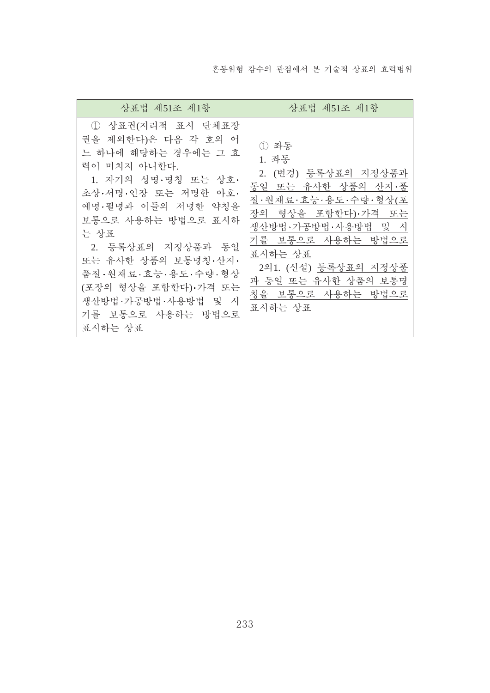혼동위험 감수의 관점에서 본 기술적 상표의 효력범위

| 상표법 제51조 제1항                                                                                                                                                                                                                                                                                                                      | 상표법 제51조 제1항                                                                                                                                                                                                                                 |
|-----------------------------------------------------------------------------------------------------------------------------------------------------------------------------------------------------------------------------------------------------------------------------------------------------------------------------------|----------------------------------------------------------------------------------------------------------------------------------------------------------------------------------------------------------------------------------------------|
| 1 상표권(지리적 표시 단체표장<br>권을 제외한다)은 다음 각 호의 어<br>느 하나에 해당하는 경우에는 그 효<br>력이 미치지 아니한다.<br>1. 자기의 성명·명칭 또는 상호·<br>초상·서명·인장 또는 저명한 아호·<br>예명·필명과 이들의 저명한 약칭을<br>보통으로 사용하는 방법으로 표시하<br>는 상표<br>2. 등록상표의 지정상품과 동일<br>또는 유사한 상품의 보통명칭·산지·<br>품질·원재료·효능·용도·수량·형상<br>(포장의 형상을 포함한다) 가격 또는<br>생산방법·가공방법·사용방법 및 시<br>기를 보통으로 사용하는 방법으로<br>표시하는 상표 | ① 좌동<br>1. 좌동<br>2. (변경) 등록상표의 지정상품과<br>동일 또는 유사한 상품의 산지·품<br>질·원재료·효능·용도·수량·형상(포<br>장의 형상을 포함한다)·가격 또는<br>생산방법·가공방법·사용방법 및 시<br>기를 보통으로 사용하는 방법으로<br>표시하는 상표<br>2의1. (신설) 등록상표의 지정상품<br>과 동일 또는 유사한 상품의 보통명<br>칭을 보통으로 사용하는 방법으로<br>표시하는 상표 |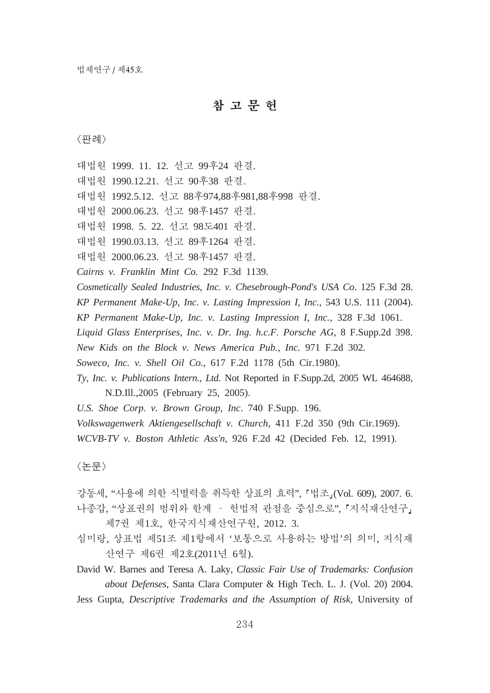# 참고문헌

能昭

대법원 1999. 11. 12. 선고 99후24 판결.

대법원 1990.12.21. 선고 90후38 판결.

대법원 1992.5.12. 선고 88후974,88후981,88후998 판결.

대법원 2000.06.23. 선고 98후1457 판결.

대법원 1998. 5. 22. 선고 98도401 판결.

대법원 1990.03.13. 선고 89후1264 판결.

대법원 2000.06.23. 선고 98후1457 판결.

*Cairns v. Franklin Mint Co.* 292 F.3d 1139.

*Cosmetically Sealed Industries, Inc. v. Chesebrough-Pond's USA Co*. 125 F.3d 28.

*KP Permanent Make-Up, Inc. v. Lasting Impression I, Inc.*, 543 U.S. 111 (2004).

*KP Permanent Make-Up, Inc. v. Lasting Impression I, Inc.*, 328 F.3d 1061.

*Liquid Glass Enterprises, Inc. v. Dr. Ing. h.c.F. Porsche AG,* 8 F.Supp.2d 398.

*New Kids on the Block v. News America Pub., Inc.* 971 F.2d 302.

*Soweco, Inc. v. Shell Oil Co.,* 617 F.2d 1178 (5th Cir.1980).

*Ty, Inc. v. Publications Intern., Ltd.* Not Reported in F.Supp.2d, 2005 WL 464688, N.D.Ill.,2005 (February 25, 2005).

*U.S. Shoe Corp. v. Brown Group, Inc*. 740 F.Supp. 196.

*Volkswagenwerk Aktiengesellschaft v. Church,* 411 F.2d 350 (9th Cir.1969).

*WCVB-TV v. Boston Athletic Ass'n,* 926 F.2d 42 (Decided Feb. 12, 1991).

〈논문〉

- 강동세, "사용에 의한 식별력을 취득한 상표의 효력", 「법조」(Vol. 609), 2007. 6. 나종갑, "상표권의 범위와 한계 - 헌법적 관점을 중심으로", 「지식재산연구」 제7권 제1호, 한국지식재산연구원, 2012. 3.
- 심미랑, 상표법 제51조 제1항에서 '보통으로 사용하는 방법'의 의미, 지식재 산연구 제6권 제2호(2011년 6월).

David W. Barnes and Teresa A. Laky, *Classic Fair Use of Trademarks: Confusion about Defenses*, Santa Clara Computer & High Tech. L. J. (Vol. 20) 2004.

Jess Gupta, *Descriptive Trademarks and the Assumption of Risk*, University of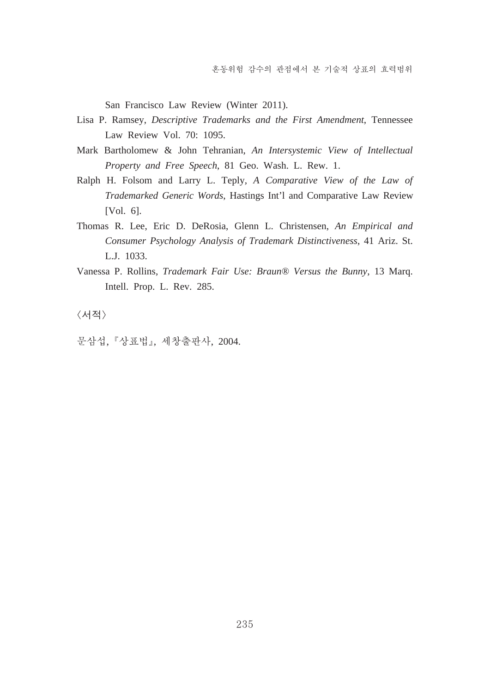San Francisco Law Review (Winter 2011).

- Lisa P. Ramsey, *Descriptive Trademarks and the First Amendment*, Tennessee Law Review Vol. 70: 1095.
- Mark Bartholomew & John Tehranian, *An Intersystemic View of Intellectual Property and Free Speech*, 81 Geo. Wash. L. Rew. 1.
- Ralph H. Folsom and Larry L. Teply, *A Comparative View of the Law of Trademarked Generic Words*, Hastings Int'l and Comparative Law Review [Vol. 6].
- Thomas R. Lee, Eric D. DeRosia, Glenn L. Christensen, *An Empirical and Consumer Psychology Analysis of Trademark Distinctiveness*, 41 Ariz. St. L.J. 1033.
- Vanessa P. Rollins, *Trademark Fair Use: Braun® Versus the Bunny*, 13 Marq. Intell. Prop. L. Rev. 285.

〈서적〉

문삼섭, 『상표법』, 세창출판사, 2004.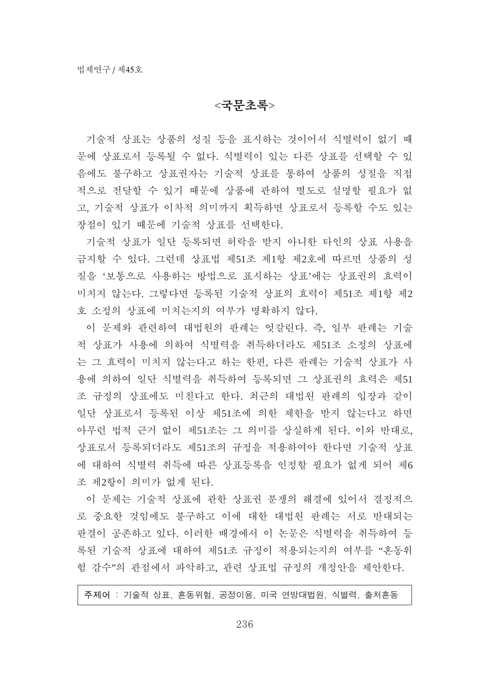## $<$ 국무초록>

기술적 상표는 상품의 성질 등을 표시하는 것이어서 식별력이 없기 때 문에 상표로서 등록될 수 없다. 식별력이 있는 다른 상표를 선택할 수 있 음에도 불구하고 상표권자는 기술적 상표를 통하여 상품의 성질을 직접 적으로 전달할 수 있기 때문에 상품에 관하여 별도로 설명할 필요가 없 고, 기술적 상표가 이차적 의미까지 획득하면 상표로서 등록할 수도 있는 장점이 있기 때문에 기술적 상표를 선택한다.

기술적 상표가 일단 등록되면 허락을 받지 아니한 타인의 상표 사용을 금지할 수 있다. 그런데 상표법 제51조 제1항 제2호에 따르면 상품의 성 질을 '보통으로 사용하는 방법으로 표시하는 상표'에는 상표권의 효력이 미치지 않는다. 그렇다면 등록된 기술적 상표의 효력이 제51조 제1항 제2 호 소정의 상표에 미치는지의 여부가 명확하지 않다.

이 문제와 관련하여 대법원의 판례는 엇갈린다. 즉, 일부 판례는 기술 적 상표가 사용에 의하여 식별력을 취득하더라도 제51조 소정의 상표에 는 그 효력이 미치지 않는다고 하는 한편, 다른 판례는 기술적 상표가 사 용에 의하여 일단 식별력을 취득하여 등록되면 그 상표권의 효력은 제51 조 규정의 상표에도 미친다고 한다. 최근의 대법원 판례의 입장과 같이 일단 상표로서 등록된 이상 제51조에 의한 제한을 받지 않는다고 하면 아무런 법적 근거 없이 제51조는 그 의미를 상실하게 된다. 이와 반대로, 상표로서 등록되더라도 제51조의 규정을 적용하여야 한다면 기술적 상표 에 대하여 식별력 취득에 따른 상표등록을 인정할 필요가 없게 되어 제6 조 제2항이 의미가 없게 된다.

이 문제는 기술적 상표에 관한 상표권 분쟁의 해결에 있어서 결정적으 로 중요한 것임에도 불구하고 이에 대한 대법원 판례는 서로 반대되는 판결이 공존하고 있다. 이러한 배경에서 이 논문은 식별력을 취득하여 등 록된 기술적 상표에 대하여 제51조 규정이 적용되는지의 여부를 "혼동위 험 감수"의 관점에서 파악하고, 관련 상표법 규정의 개정안을 제안한다.

주제어 : 기술적 상표, 혼동위험, 공정이용, 미국 연방대법원, 식별력, 출처혼동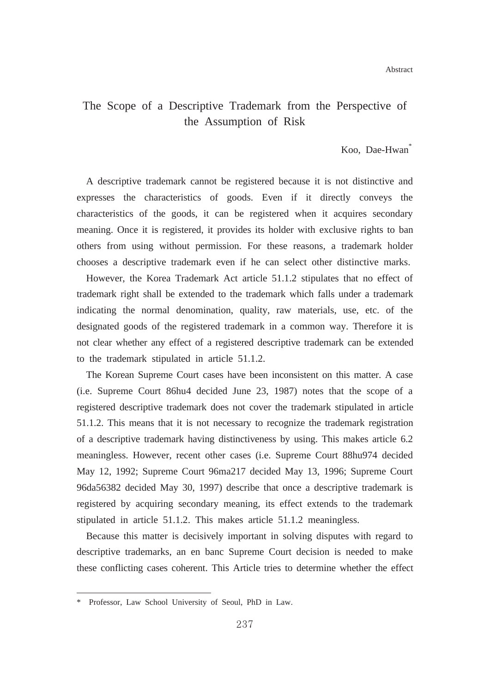# The Scope of a Descriptive Trademark from the Perspective of the Assumption of Risk

#### Koo, Dae-Hwan<sup>\*</sup>

A descriptive trademark cannot be registered because it is not distinctive and expresses the characteristics of goods. Even if it directly conveys the characteristics of the goods, it can be registered when it acquires secondary meaning. Once it is registered, it provides its holder with exclusive rights to ban others from using without permission. For these reasons, a trademark holder chooses a descriptive trademark even if he can select other distinctive marks.

However, the Korea Trademark Act article 51.1.2 stipulates that no effect of trademark right shall be extended to the trademark which falls under a trademark indicating the normal denomination, quality, raw materials, use, etc. of the designated goods of the registered trademark in a common way. Therefore it is not clear whether any effect of a registered descriptive trademark can be extended to the trademark stipulated in article 51.1.2.

The Korean Supreme Court cases have been inconsistent on this matter. A case (i.e. Supreme Court 86hu4 decided June 23, 1987) notes that the scope of a registered descriptive trademark does not cover the trademark stipulated in article 51.1.2. This means that it is not necessary to recognize the trademark registration of a descriptive trademark having distinctiveness by using. This makes article 6.2 meaningless. However, recent other cases (i.e. Supreme Court 88hu974 decided May 12, 1992; Supreme Court 96ma217 decided May 13, 1996; Supreme Court 96da56382 decided May 30, 1997) describe that once a descriptive trademark is registered by acquiring secondary meaning, its effect extends to the trademark stipulated in article 51.1.2. This makes article 51.1.2 meaningless.

Because this matter is decisively important in solving disputes with regard to descriptive trademarks, an en banc Supreme Court decision is needed to make these conflicting cases coherent. This Article tries to determine whether the effect

<sup>\*</sup> Professor, Law School University of Seoul, PhD in Law.